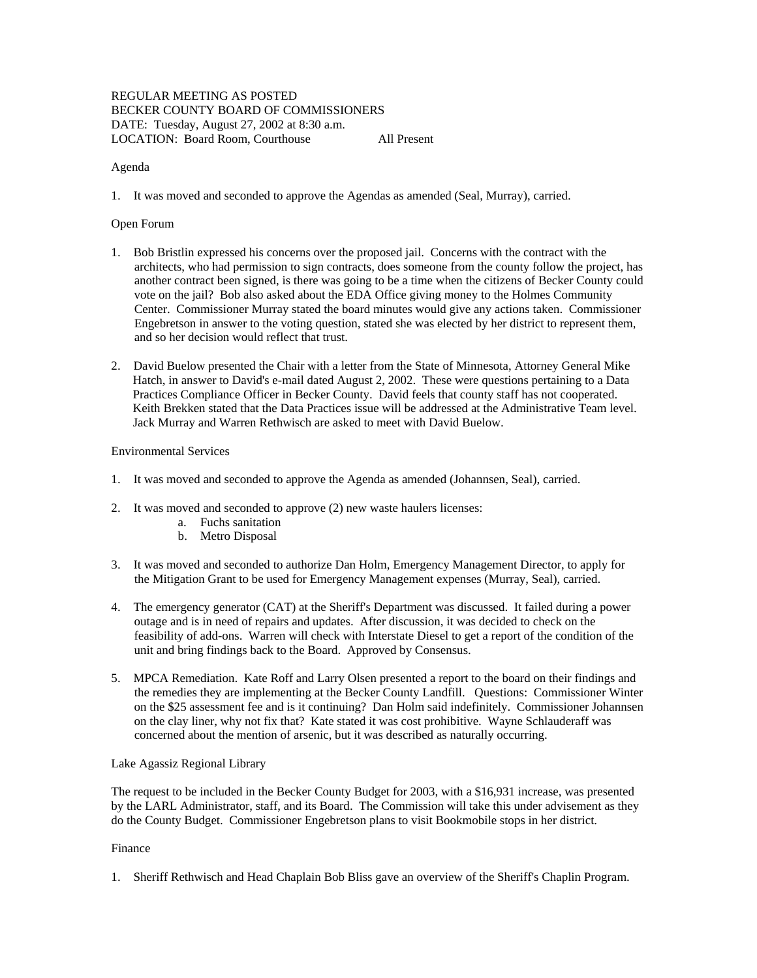# REGULAR MEETING AS POSTED BECKER COUNTY BOARD OF COMMISSIONERS DATE: Tuesday, August 27, 2002 at 8:30 a.m. LOCATION: Board Room, Courthouse All Present

### Agenda

1. It was moved and seconded to approve the Agendas as amended (Seal, Murray), carried.

# Open Forum

- 1. Bob Bristlin expressed his concerns over the proposed jail. Concerns with the contract with the architects, who had permission to sign contracts, does someone from the county follow the project, has another contract been signed, is there was going to be a time when the citizens of Becker County could vote on the jail? Bob also asked about the EDA Office giving money to the Holmes Community Center. Commissioner Murray stated the board minutes would give any actions taken. Commissioner Engebretson in answer to the voting question, stated she was elected by her district to represent them, and so her decision would reflect that trust.
- 2. David Buelow presented the Chair with a letter from the State of Minnesota, Attorney General Mike Hatch, in answer to David's e-mail dated August 2, 2002. These were questions pertaining to a Data Practices Compliance Officer in Becker County. David feels that county staff has not cooperated. Keith Brekken stated that the Data Practices issue will be addressed at the Administrative Team level. Jack Murray and Warren Rethwisch are asked to meet with David Buelow.

## Environmental Services

- 1. It was moved and seconded to approve the Agenda as amended (Johannsen, Seal), carried.
- 2. It was moved and seconded to approve (2) new waste haulers licenses:
	- a. Fuchs sanitation
	- b. Metro Disposal
- 3. It was moved and seconded to authorize Dan Holm, Emergency Management Director, to apply for the Mitigation Grant to be used for Emergency Management expenses (Murray, Seal), carried.
- 4. The emergency generator (CAT) at the Sheriff's Department was discussed. It failed during a power outage and is in need of repairs and updates. After discussion, it was decided to check on the feasibility of add-ons. Warren will check with Interstate Diesel to get a report of the condition of the unit and bring findings back to the Board. Approved by Consensus.
- 5. MPCA Remediation. Kate Roff and Larry Olsen presented a report to the board on their findings and the remedies they are implementing at the Becker County Landfill. Questions: Commissioner Winter on the \$25 assessment fee and is it continuing? Dan Holm said indefinitely. Commissioner Johannsen on the clay liner, why not fix that? Kate stated it was cost prohibitive. Wayne Schlauderaff was concerned about the mention of arsenic, but it was described as naturally occurring.

### Lake Agassiz Regional Library

The request to be included in the Becker County Budget for 2003, with a \$16,931 increase, was presented by the LARL Administrator, staff, and its Board. The Commission will take this under advisement as they do the County Budget. Commissioner Engebretson plans to visit Bookmobile stops in her district.

### Finance

1. Sheriff Rethwisch and Head Chaplain Bob Bliss gave an overview of the Sheriff's Chaplin Program.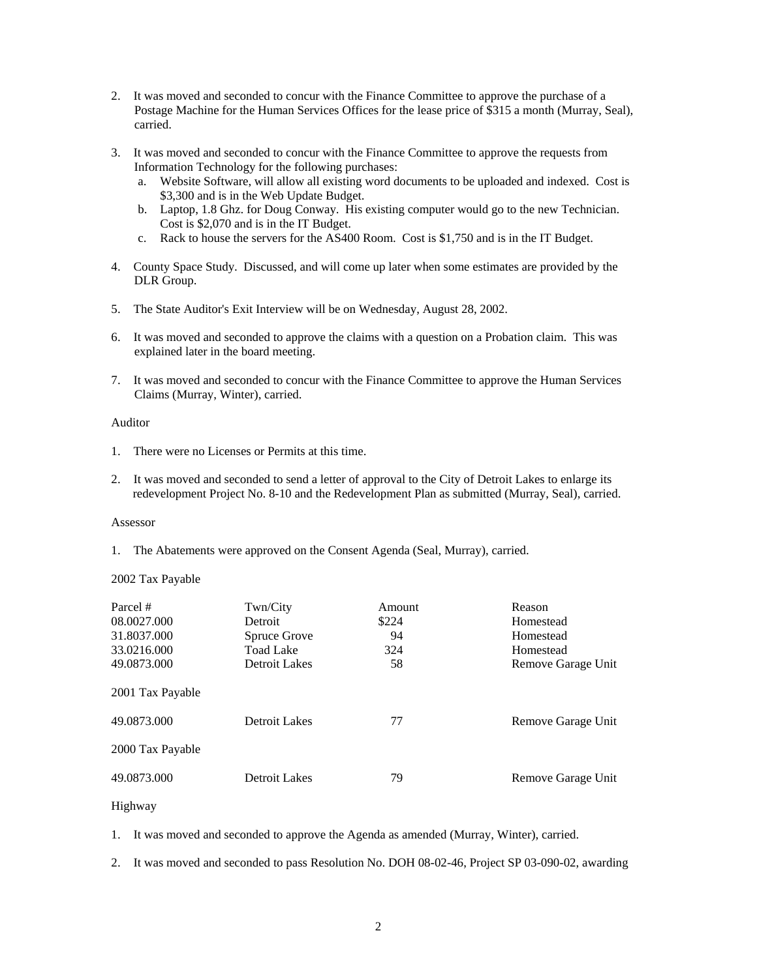- 2. It was moved and seconded to concur with the Finance Committee to approve the purchase of a Postage Machine for the Human Services Offices for the lease price of \$315 a month (Murray, Seal), carried.
- 3. It was moved and seconded to concur with the Finance Committee to approve the requests from Information Technology for the following purchases:
	- a. Website Software, will allow all existing word documents to be uploaded and indexed. Cost is \$3,300 and is in the Web Update Budget.
	- b. Laptop, 1.8 Ghz. for Doug Conway. His existing computer would go to the new Technician. Cost is \$2,070 and is in the IT Budget.
	- c. Rack to house the servers for the AS400 Room. Cost is \$1,750 and is in the IT Budget.
- 4. County Space Study. Discussed, and will come up later when some estimates are provided by the DLR Group.
- 5. The State Auditor's Exit Interview will be on Wednesday, August 28, 2002.
- 6. It was moved and seconded to approve the claims with a question on a Probation claim. This was explained later in the board meeting.
- 7. It was moved and seconded to concur with the Finance Committee to approve the Human Services Claims (Murray, Winter), carried.

#### Auditor

- 1. There were no Licenses or Permits at this time.
- 2. It was moved and seconded to send a letter of approval to the City of Detroit Lakes to enlarge its redevelopment Project No. 8-10 and the Redevelopment Plan as submitted (Murray, Seal), carried.

## Assessor

1. The Abatements were approved on the Consent Agenda (Seal, Murray), carried.

### 2002 Tax Payable

| Parcel #<br>08.0027.000<br>31.8037.000<br>33.0216.000<br>49.0873.000<br>2001 Tax Payable | Twn/City<br>Detroit<br>Spruce Grove<br><b>Toad Lake</b><br>Detroit Lakes | Amount<br>\$224<br>94<br>324<br>58 | Reason<br>Homestead<br>Homestead<br>Homestead<br>Remove Garage Unit |
|------------------------------------------------------------------------------------------|--------------------------------------------------------------------------|------------------------------------|---------------------------------------------------------------------|
| 49.0873.000<br>2000 Tax Payable                                                          | Detroit Lakes                                                            | 77                                 | Remove Garage Unit                                                  |
| 49.0873.000                                                                              | Detroit Lakes                                                            | 79                                 | Remove Garage Unit                                                  |

### Highway

- 1. It was moved and seconded to approve the Agenda as amended (Murray, Winter), carried.
- 2. It was moved and seconded to pass Resolution No. DOH 08-02-46, Project SP 03-090-02, awarding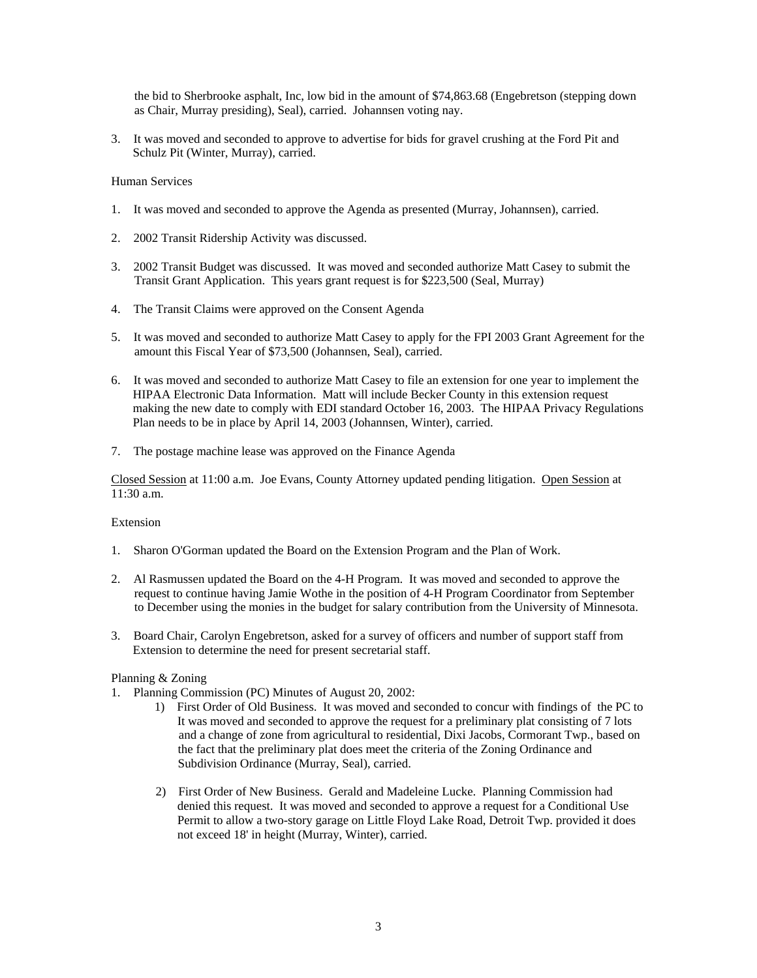the bid to Sherbrooke asphalt, Inc, low bid in the amount of \$74,863.68 (Engebretson (stepping down as Chair, Murray presiding), Seal), carried. Johannsen voting nay.

3. It was moved and seconded to approve to advertise for bids for gravel crushing at the Ford Pit and Schulz Pit (Winter, Murray), carried.

Human Services

- 1. It was moved and seconded to approve the Agenda as presented (Murray, Johannsen), carried.
- 2. 2002 Transit Ridership Activity was discussed.
- 3. 2002 Transit Budget was discussed. It was moved and seconded authorize Matt Casey to submit the Transit Grant Application. This years grant request is for \$223,500 (Seal, Murray)
- 4. The Transit Claims were approved on the Consent Agenda
- 5. It was moved and seconded to authorize Matt Casey to apply for the FPI 2003 Grant Agreement for the amount this Fiscal Year of \$73,500 (Johannsen, Seal), carried.
- 6. It was moved and seconded to authorize Matt Casey to file an extension for one year to implement the HIPAA Electronic Data Information. Matt will include Becker County in this extension request making the new date to comply with EDI standard October 16, 2003. The HIPAA Privacy Regulations Plan needs to be in place by April 14, 2003 (Johannsen, Winter), carried.
- 7. The postage machine lease was approved on the Finance Agenda

Closed Session at 11:00 a.m. Joe Evans, County Attorney updated pending litigation. Open Session at 11:30 a.m.

#### Extension

- 1. Sharon O'Gorman updated the Board on the Extension Program and the Plan of Work.
- 2. Al Rasmussen updated the Board on the 4-H Program. It was moved and seconded to approve the request to continue having Jamie Wothe in the position of 4-H Program Coordinator from September to December using the monies in the budget for salary contribution from the University of Minnesota.
- 3. Board Chair, Carolyn Engebretson, asked for a survey of officers and number of support staff from Extension to determine the need for present secretarial staff.

#### Planning & Zoning

- 1. Planning Commission (PC) Minutes of August 20, 2002:
	- 1) First Order of Old Business. It was moved and seconded to concur with findings of the PC to It was moved and seconded to approve the request for a preliminary plat consisting of 7 lots and a change of zone from agricultural to residential, Dixi Jacobs, Cormorant Twp., based on the fact that the preliminary plat does meet the criteria of the Zoning Ordinance and Subdivision Ordinance (Murray, Seal), carried.
	- 2) First Order of New Business. Gerald and Madeleine Lucke. Planning Commission had denied this request. It was moved and seconded to approve a request for a Conditional Use Permit to allow a two-story garage on Little Floyd Lake Road, Detroit Twp. provided it does not exceed 18' in height (Murray, Winter), carried.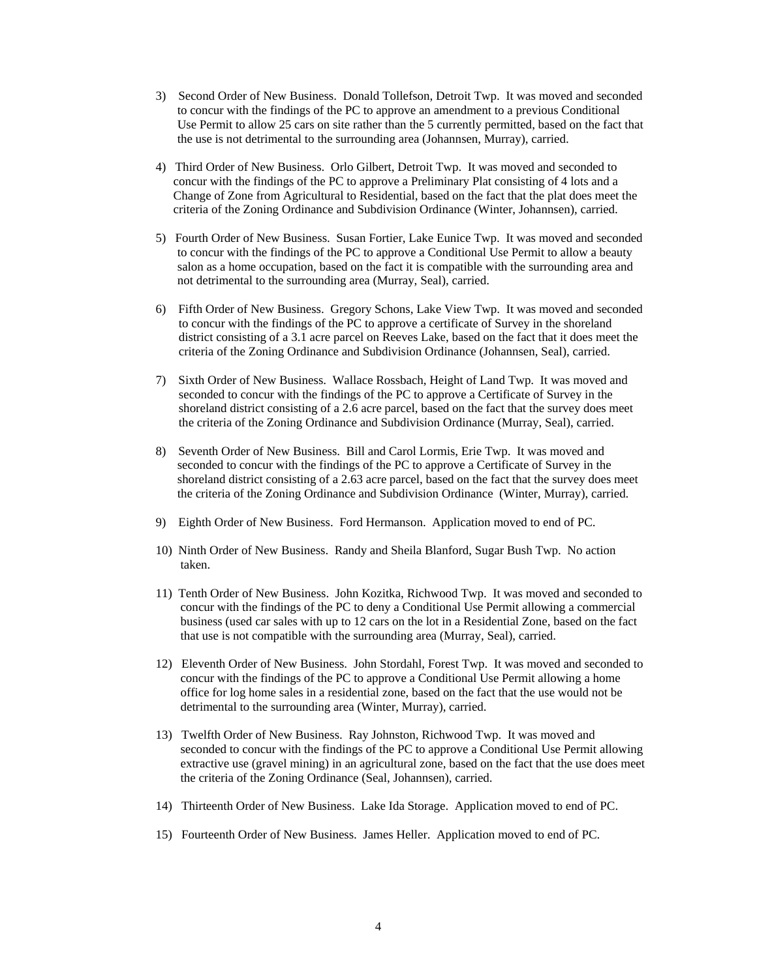- 3) Second Order of New Business. Donald Tollefson, Detroit Twp. It was moved and seconded to concur with the findings of the PC to approve an amendment to a previous Conditional Use Permit to allow 25 cars on site rather than the 5 currently permitted, based on the fact that the use is not detrimental to the surrounding area (Johannsen, Murray), carried.
- 4) Third Order of New Business. Orlo Gilbert, Detroit Twp. It was moved and seconded to concur with the findings of the PC to approve a Preliminary Plat consisting of 4 lots and a Change of Zone from Agricultural to Residential, based on the fact that the plat does meet the criteria of the Zoning Ordinance and Subdivision Ordinance (Winter, Johannsen), carried.
- 5) Fourth Order of New Business. Susan Fortier, Lake Eunice Twp. It was moved and seconded to concur with the findings of the PC to approve a Conditional Use Permit to allow a beauty salon as a home occupation, based on the fact it is compatible with the surrounding area and not detrimental to the surrounding area (Murray, Seal), carried.
- 6) Fifth Order of New Business. Gregory Schons, Lake View Twp. It was moved and seconded to concur with the findings of the PC to approve a certificate of Survey in the shoreland district consisting of a 3.1 acre parcel on Reeves Lake, based on the fact that it does meet the criteria of the Zoning Ordinance and Subdivision Ordinance (Johannsen, Seal), carried.
- 7) Sixth Order of New Business. Wallace Rossbach, Height of Land Twp. It was moved and seconded to concur with the findings of the PC to approve a Certificate of Survey in the shoreland district consisting of a 2.6 acre parcel, based on the fact that the survey does meet the criteria of the Zoning Ordinance and Subdivision Ordinance (Murray, Seal), carried.
- 8) Seventh Order of New Business. Bill and Carol Lormis, Erie Twp. It was moved and seconded to concur with the findings of the PC to approve a Certificate of Survey in the shoreland district consisting of a 2.63 acre parcel, based on the fact that the survey does meet the criteria of the Zoning Ordinance and Subdivision Ordinance (Winter, Murray), carried.
- 9) Eighth Order of New Business. Ford Hermanson. Application moved to end of PC.
- 10) Ninth Order of New Business. Randy and Sheila Blanford, Sugar Bush Twp. No action taken.
- 11) Tenth Order of New Business. John Kozitka, Richwood Twp. It was moved and seconded to concur with the findings of the PC to deny a Conditional Use Permit allowing a commercial business (used car sales with up to 12 cars on the lot in a Residential Zone, based on the fact that use is not compatible with the surrounding area (Murray, Seal), carried.
- 12) Eleventh Order of New Business. John Stordahl, Forest Twp. It was moved and seconded to concur with the findings of the PC to approve a Conditional Use Permit allowing a home office for log home sales in a residential zone, based on the fact that the use would not be detrimental to the surrounding area (Winter, Murray), carried.
- 13) Twelfth Order of New Business. Ray Johnston, Richwood Twp. It was moved and seconded to concur with the findings of the PC to approve a Conditional Use Permit allowing extractive use (gravel mining) in an agricultural zone, based on the fact that the use does meet the criteria of the Zoning Ordinance (Seal, Johannsen), carried.
- 14) Thirteenth Order of New Business. Lake Ida Storage. Application moved to end of PC.
- 15) Fourteenth Order of New Business. James Heller. Application moved to end of PC.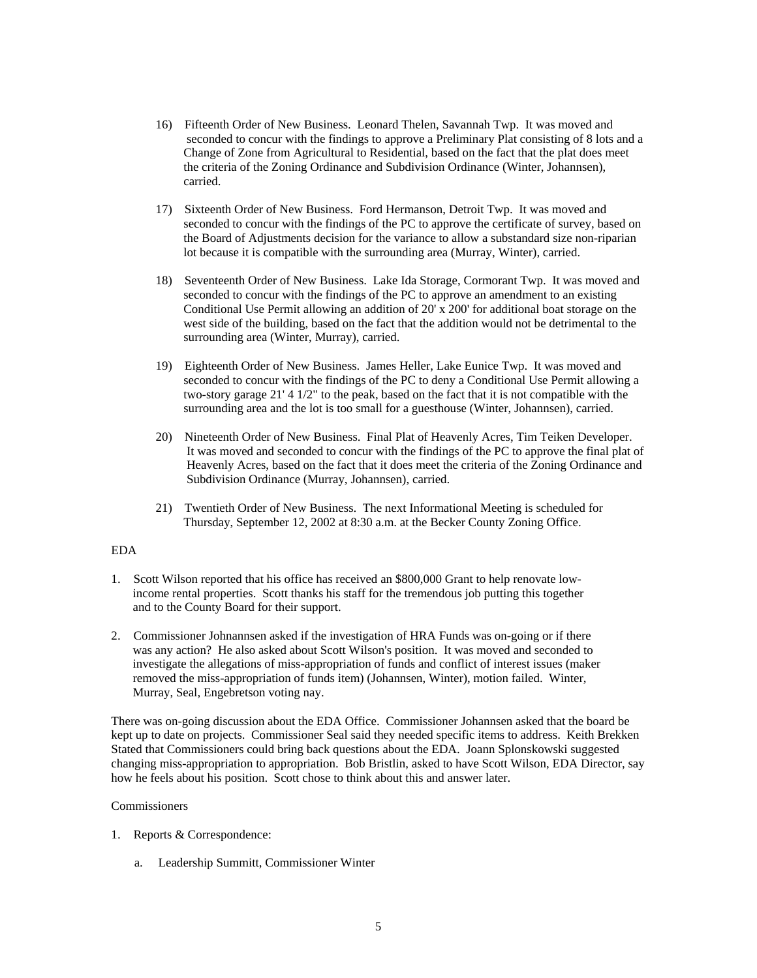- 16) Fifteenth Order of New Business. Leonard Thelen, Savannah Twp. It was moved and seconded to concur with the findings to approve a Preliminary Plat consisting of 8 lots and a Change of Zone from Agricultural to Residential, based on the fact that the plat does meet the criteria of the Zoning Ordinance and Subdivision Ordinance (Winter, Johannsen), carried.
- 17) Sixteenth Order of New Business. Ford Hermanson, Detroit Twp. It was moved and seconded to concur with the findings of the PC to approve the certificate of survey, based on the Board of Adjustments decision for the variance to allow a substandard size non-riparian lot because it is compatible with the surrounding area (Murray, Winter), carried.
- 18) Seventeenth Order of New Business. Lake Ida Storage, Cormorant Twp. It was moved and seconded to concur with the findings of the PC to approve an amendment to an existing Conditional Use Permit allowing an addition of 20' x 200' for additional boat storage on the west side of the building, based on the fact that the addition would not be detrimental to the surrounding area (Winter, Murray), carried.
- 19) Eighteenth Order of New Business. James Heller, Lake Eunice Twp. It was moved and seconded to concur with the findings of the PC to deny a Conditional Use Permit allowing a two-story garage 21' 4 1/2" to the peak, based on the fact that it is not compatible with the surrounding area and the lot is too small for a guesthouse (Winter, Johannsen), carried.
- 20) Nineteenth Order of New Business. Final Plat of Heavenly Acres, Tim Teiken Developer. It was moved and seconded to concur with the findings of the PC to approve the final plat of Heavenly Acres, based on the fact that it does meet the criteria of the Zoning Ordinance and Subdivision Ordinance (Murray, Johannsen), carried.
- 21) Twentieth Order of New Business. The next Informational Meeting is scheduled for Thursday, September 12, 2002 at 8:30 a.m. at the Becker County Zoning Office.

## EDA

- 1. Scott Wilson reported that his office has received an \$800,000 Grant to help renovate low income rental properties. Scott thanks his staff for the tremendous job putting this together and to the County Board for their support.
- 2. Commissioner Johnannsen asked if the investigation of HRA Funds was on-going or if there was any action? He also asked about Scott Wilson's position. It was moved and seconded to investigate the allegations of miss-appropriation of funds and conflict of interest issues (maker removed the miss-appropriation of funds item) (Johannsen, Winter), motion failed. Winter, Murray, Seal, Engebretson voting nay.

There was on-going discussion about the EDA Office. Commissioner Johannsen asked that the board be kept up to date on projects. Commissioner Seal said they needed specific items to address. Keith Brekken Stated that Commissioners could bring back questions about the EDA. Joann Splonskowski suggested changing miss-appropriation to appropriation. Bob Bristlin, asked to have Scott Wilson, EDA Director, say how he feels about his position. Scott chose to think about this and answer later.

### Commissioners

- 1. Reports & Correspondence:
	- a. Leadership Summitt, Commissioner Winter